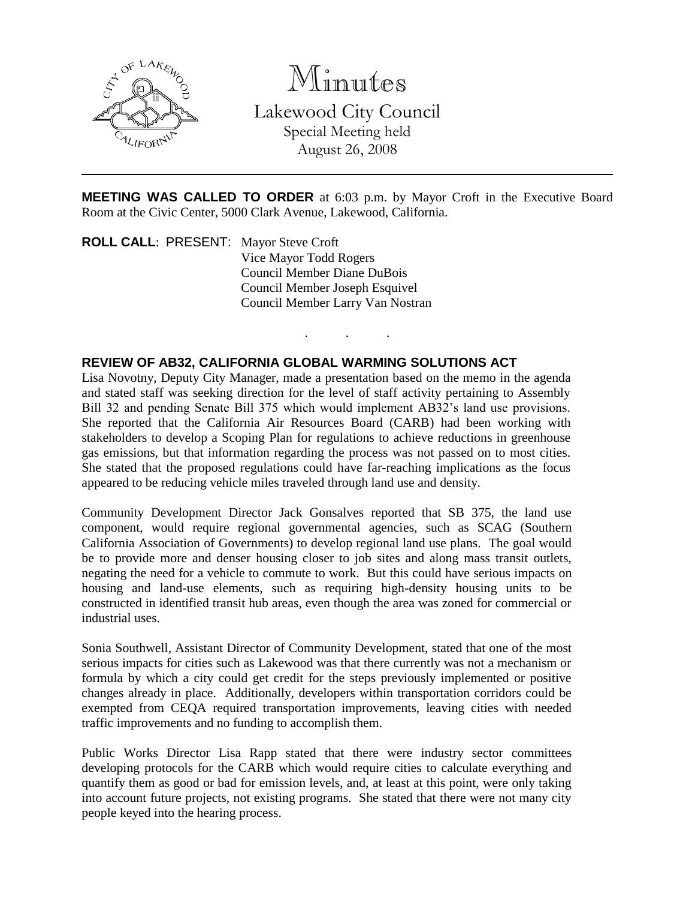

Minutes

Lakewood City Council Special Meeting held August 26, 2008

**MEETING WAS CALLED TO ORDER** at 6:03 p.m. by Mayor Croft in the Executive Board Room at the Civic Center, 5000 Clark Avenue, Lakewood, California.

. . .

**ROLL CALL**: PRESENT: Mayor Steve Croft Vice Mayor Todd Rogers Council Member Diane DuBois Council Member Joseph Esquivel Council Member Larry Van Nostran

## **REVIEW OF AB32, CALIFORNIA GLOBAL WARMING SOLUTIONS ACT**

Lisa Novotny, Deputy City Manager, made a presentation based on the memo in the agenda and stated staff was seeking direction for the level of staff activity pertaining to Assembly Bill 32 and pending Senate Bill 375 which would implement AB32's land use provisions. She reported that the California Air Resources Board (CARB) had been working with stakeholders to develop a Scoping Plan for regulations to achieve reductions in greenhouse gas emissions, but that information regarding the process was not passed on to most cities. She stated that the proposed regulations could have far-reaching implications as the focus appeared to be reducing vehicle miles traveled through land use and density.

Community Development Director Jack Gonsalves reported that SB 375, the land use component, would require regional governmental agencies, such as SCAG (Southern California Association of Governments) to develop regional land use plans. The goal would be to provide more and denser housing closer to job sites and along mass transit outlets, negating the need for a vehicle to commute to work. But this could have serious impacts on housing and land-use elements, such as requiring high-density housing units to be constructed in identified transit hub areas, even though the area was zoned for commercial or industrial uses.

Sonia Southwell, Assistant Director of Community Development, stated that one of the most serious impacts for cities such as Lakewood was that there currently was not a mechanism or formula by which a city could get credit for the steps previously implemented or positive changes already in place. Additionally, developers within transportation corridors could be exempted from CEQA required transportation improvements, leaving cities with needed traffic improvements and no funding to accomplish them.

Public Works Director Lisa Rapp stated that there were industry sector committees developing protocols for the CARB which would require cities to calculate everything and quantify them as good or bad for emission levels, and, at least at this point, were only taking into account future projects, not existing programs. She stated that there were not many city people keyed into the hearing process.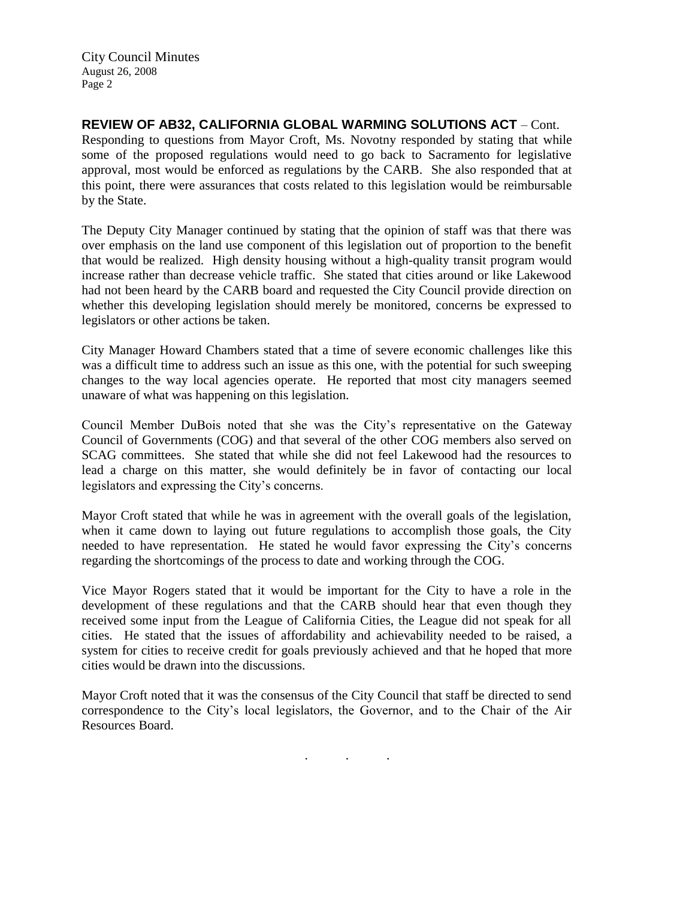City Council Minutes August 26, 2008 Page 2

**REVIEW OF AB32, CALIFORNIA GLOBAL WARMING SOLUTIONS ACT** – Cont. Responding to questions from Mayor Croft, Ms. Novotny responded by stating that while some of the proposed regulations would need to go back to Sacramento for legislative approval, most would be enforced as regulations by the CARB. She also responded that at this point, there were assurances that costs related to this legislation would be reimbursable by the State.

The Deputy City Manager continued by stating that the opinion of staff was that there was over emphasis on the land use component of this legislation out of proportion to the benefit that would be realized. High density housing without a high-quality transit program would increase rather than decrease vehicle traffic. She stated that cities around or like Lakewood had not been heard by the CARB board and requested the City Council provide direction on whether this developing legislation should merely be monitored, concerns be expressed to legislators or other actions be taken.

City Manager Howard Chambers stated that a time of severe economic challenges like this was a difficult time to address such an issue as this one, with the potential for such sweeping changes to the way local agencies operate. He reported that most city managers seemed unaware of what was happening on this legislation.

Council Member DuBois noted that she was the City's representative on the Gateway Council of Governments (COG) and that several of the other COG members also served on SCAG committees. She stated that while she did not feel Lakewood had the resources to lead a charge on this matter, she would definitely be in favor of contacting our local legislators and expressing the City's concerns.

Mayor Croft stated that while he was in agreement with the overall goals of the legislation, when it came down to laying out future regulations to accomplish those goals, the City needed to have representation. He stated he would favor expressing the City's concerns regarding the shortcomings of the process to date and working through the COG.

Vice Mayor Rogers stated that it would be important for the City to have a role in the development of these regulations and that the CARB should hear that even though they received some input from the League of California Cities, the League did not speak for all cities. He stated that the issues of affordability and achievability needed to be raised, a system for cities to receive credit for goals previously achieved and that he hoped that more cities would be drawn into the discussions.

Mayor Croft noted that it was the consensus of the City Council that staff be directed to send correspondence to the City's local legislators, the Governor, and to the Chair of the Air Resources Board.

. . .